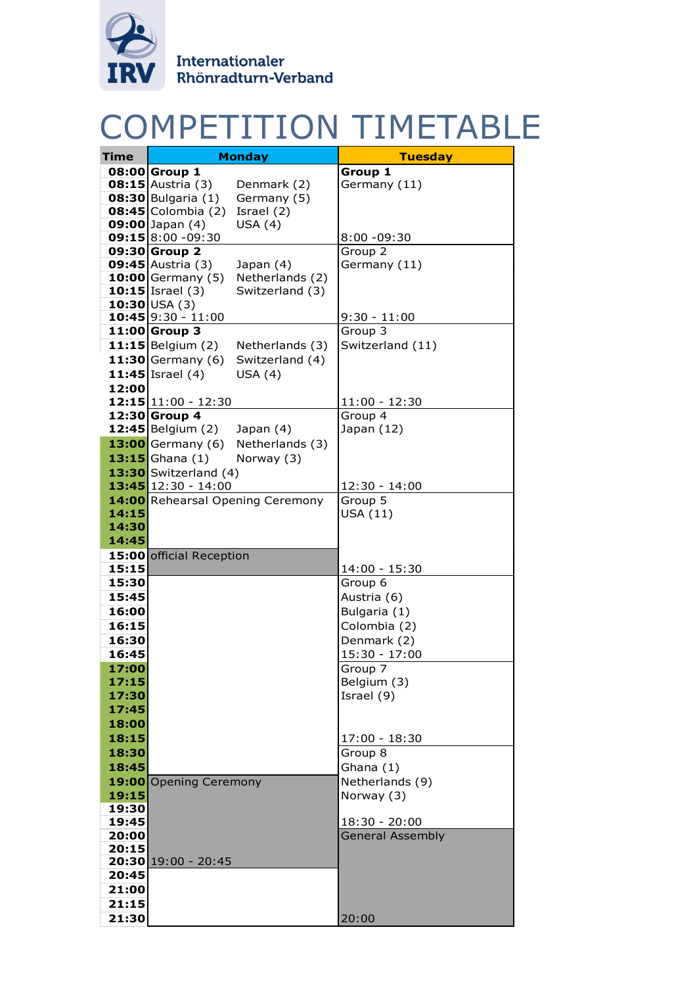

## COMPETITION TIMETABLE

|                | <b>COMPETITION TIMETABL</b>                              |                           |
|----------------|----------------------------------------------------------|---------------------------|
| <b>Time</b>    | <b>Monday</b>                                            | <b>Tuesday</b>            |
|                | 08:00 Group 1                                            | Group 1                   |
|                | <b>08:15</b> Austria $(3)$<br>Denmark (2)                | Germany (11)              |
|                | $08:30$ Bulgaria $(1)$<br>Germany (5)                    |                           |
|                | $08:45$ Colombia $(2)$<br>Israel (2)                     |                           |
|                | <b>09:00</b> Japan $(4)$<br>USA(4)                       |                           |
|                | $09:15 8:00 - 09:30$                                     | $8:00 - 09:30$            |
|                | 09:30 Group 2                                            | Group 2                   |
|                | <b>09:45</b> Austria $(3)$<br>Japan $(4)$                | Germany (11)              |
|                | Netherlands (2)<br><b>10:00</b> Germany $(5)$            |                           |
|                | 10:15 Israel $(3)$<br>Switzerland (3)                    |                           |
|                | $10:30$ USA (3)                                          |                           |
|                | $10:45$ 9:30 - 11:00<br>11:00 Group 3                    | $9:30 - 11:00$<br>Group 3 |
|                | $11:15$ Belgium (2)                                      | Switzerland (11)          |
|                | Netherlands (3)                                          |                           |
|                | <b>11:30</b> Germany $(6)$<br>Switzerland (4)            |                           |
|                | 11:45 Israel $(4)$<br>USA(4)                             |                           |
| 12:00          |                                                          |                           |
|                | $12:15 11:00 - 12:30$                                    | $11:00 - 12:30$           |
|                | 12:30 Group 4<br><b>12:45</b> Belgium $(2)$<br>Japan (4) | Group 4<br>Japan (12)     |
|                | Netherlands (3)<br><b>13:00</b> Germany (6)              |                           |
|                |                                                          |                           |
|                | 13:15 Ghana $(1)$<br>Norway (3)                          |                           |
|                | 13:30 Switzerland (4)                                    |                           |
|                | 13:45 12:30 - 14:00                                      | $12:30 - 14:00$           |
|                | 14:00 Rehearsal Opening Ceremony                         | Group 5<br>USA (11)       |
| 14:15<br>14:30 |                                                          |                           |
| 14:45          |                                                          |                           |
|                | 15:00 official Reception                                 |                           |
| 15:15          |                                                          | 14:00 - 15:30             |
| 15:30          |                                                          | Group 6                   |
| 15:45          |                                                          | Austria (6)               |
| 16:00          |                                                          | Bulgaria (1)              |
| 16:15          |                                                          | Colombia (2)              |
| 16:30          |                                                          | Denmark (2)               |
| 16:45          |                                                          | $15:30 - 17:00$           |
| 17:00          |                                                          | Group 7                   |
| 17:15          |                                                          | Belgium (3)               |
| 17:30          |                                                          | Israel (9)                |
| 17:45          |                                                          |                           |
| 18:00          |                                                          |                           |
| 18:15          |                                                          | $17:00 - 18:30$           |
| 18:30          |                                                          | Group 8                   |
| 18:45          |                                                          | Ghana (1)                 |
|                | 19:00 Opening Ceremony                                   | Netherlands (9)           |
| 19:15          |                                                          | Norway (3)                |
| 19:30          |                                                          |                           |
| 19:45          |                                                          | $18:30 - 20:00$           |
| 20:00          |                                                          | <b>General Assembly</b>   |
| 20:15          |                                                          |                           |
|                | $20:30$ 19:00 - 20:45                                    |                           |
| 20:45          |                                                          |                           |
| 21:00          |                                                          |                           |
| 21:15          |                                                          |                           |
| 21:30          |                                                          | 20:00                     |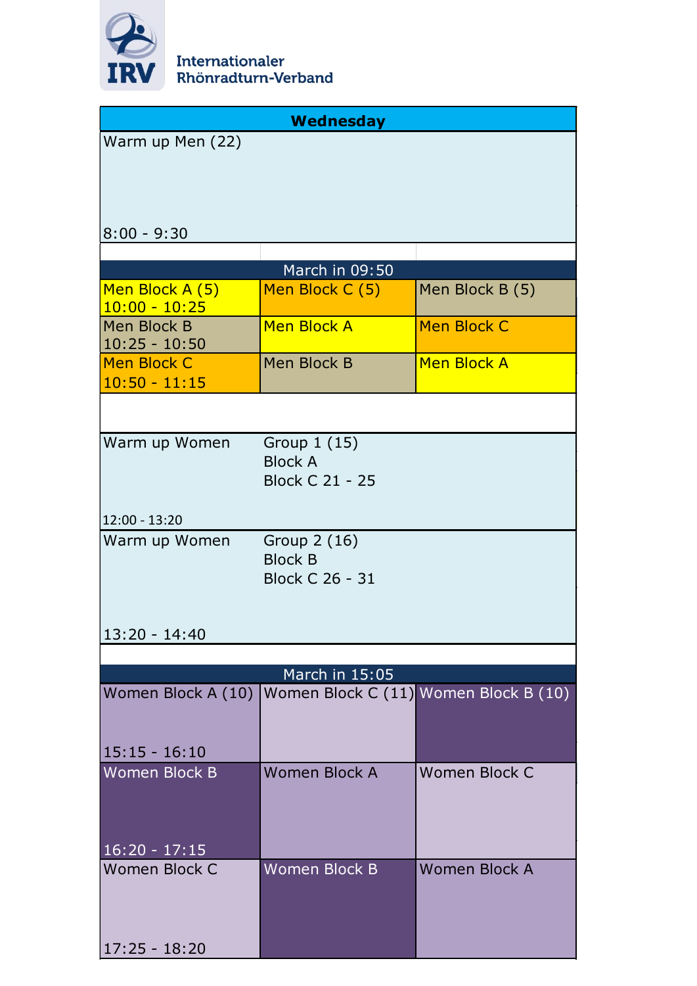

|                                       | Wednesday                                |                                       |
|---------------------------------------|------------------------------------------|---------------------------------------|
| Warm up Men (22)                      |                                          |                                       |
|                                       |                                          |                                       |
|                                       |                                          |                                       |
|                                       |                                          |                                       |
| $8:00 - 9:30$                         |                                          |                                       |
|                                       | March in 09:50                           |                                       |
| Men Block A (5)                       | Men Block C (5)                          | Men Block B (5)                       |
| $10:00 - 10:25$                       |                                          |                                       |
| Men Block B                           | <b>Men Block A</b>                       | <b>Men Block C</b>                    |
| $10:25 - 10:50$<br><b>Men Block C</b> | Men Block B                              | <b>Men Block A</b>                    |
| $10:50 - 11:15$                       |                                          |                                       |
|                                       |                                          |                                       |
|                                       |                                          |                                       |
| Warm up Women                         | Group 1 (15)                             |                                       |
|                                       | <b>Block A</b><br><b>Block C 21 - 25</b> |                                       |
|                                       |                                          |                                       |
| $12:00 - 13:20$                       |                                          |                                       |
| Warm up Women                         | Group 2 (16)                             |                                       |
|                                       | <b>Block B</b>                           |                                       |
|                                       | <b>Block C 26 - 31</b>                   |                                       |
|                                       |                                          |                                       |
| 13:20 - 14:40                         |                                          |                                       |
|                                       |                                          |                                       |
| Women Block A (10)                    | March in 15:05                           | Women Block C (11) Women Block B (10) |
|                                       |                                          |                                       |
|                                       |                                          |                                       |
| $15:15 - 16:10$                       |                                          |                                       |
| <b>Women Block B</b>                  | Women Block A                            | Women Block C                         |
|                                       |                                          |                                       |
|                                       |                                          |                                       |
| $16:20 - 17:15$                       |                                          |                                       |
| <b>Women Block C</b>                  | <b>Women Block B</b>                     | <b>Women Block A</b>                  |
|                                       |                                          |                                       |
|                                       |                                          |                                       |
| $17:25 - 18:20$                       |                                          |                                       |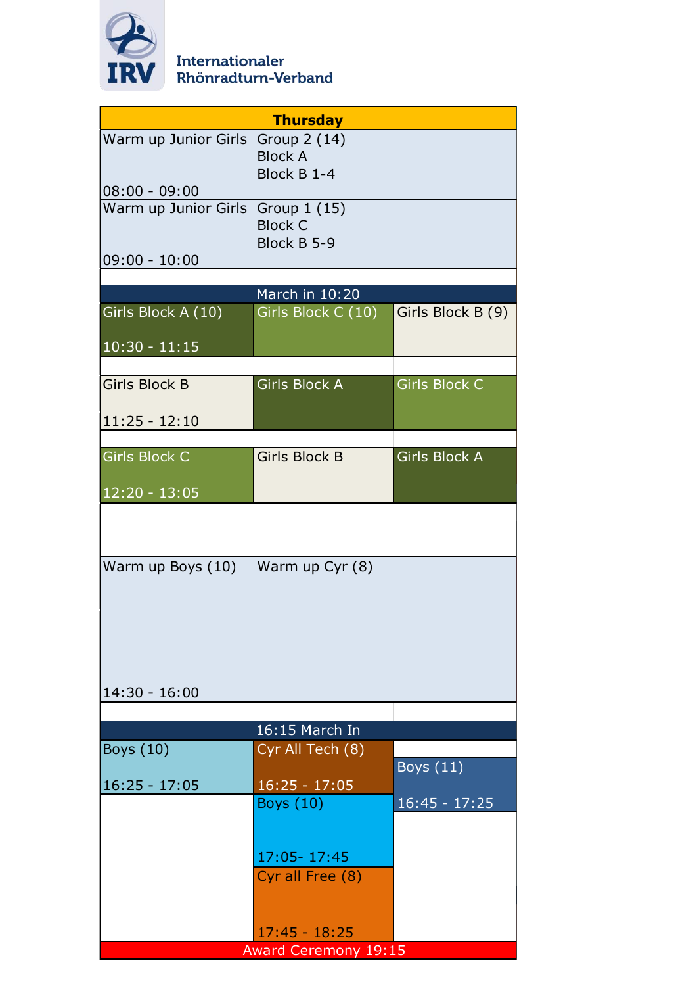

| <b>Thursday</b>                   |                               |                      |  |  |
|-----------------------------------|-------------------------------|----------------------|--|--|
| Warm up Junior Girls Group 2 (14) | <b>Block A</b><br>Block B 1-4 |                      |  |  |
| $08:00 - 09:00$                   |                               |                      |  |  |
| Warm up Junior Girls Group 1 (15) | <b>Block C</b><br>Block B 5-9 |                      |  |  |
| $09:00 - 10:00$                   |                               |                      |  |  |
|                                   |                               |                      |  |  |
|                                   | March in 10:20                |                      |  |  |
| Girls Block A (10)                | Girls Block C (10)            | Girls Block B (9)    |  |  |
| $10:30 - 11:15$                   |                               |                      |  |  |
| <b>Girls Block B</b>              | <b>Girls Block A</b>          | <b>Girls Block C</b> |  |  |
|                                   |                               |                      |  |  |
| $11:25 - 12:10$                   |                               |                      |  |  |
| <b>Girls Block C</b>              | <b>Girls Block B</b>          | <b>Girls Block A</b> |  |  |
|                                   |                               |                      |  |  |
| $12:20 - 13:05$                   |                               |                      |  |  |
|                                   |                               |                      |  |  |
| Warm up Boys (10) Warm up Cyr (8) |                               |                      |  |  |
|                                   |                               |                      |  |  |
| $14:30 - 16:00$                   |                               |                      |  |  |
|                                   | 16:15 March In                |                      |  |  |
| Boys (10)                         | Cyr All Tech (8)              |                      |  |  |
|                                   |                               | Boys $(11)$          |  |  |
| $16:25 - 17:05$                   | $16:25 - 17:05$               |                      |  |  |
|                                   | <b>Boys</b> (10)              | $16:45 - 17:25$      |  |  |
|                                   |                               |                      |  |  |
|                                   | 17:05-17:45                   |                      |  |  |
|                                   | Cyr all Free (8)              |                      |  |  |
|                                   |                               |                      |  |  |
|                                   | $17:45 - 18:25$               |                      |  |  |
|                                   | <b>Award Ceremony 19:15</b>   |                      |  |  |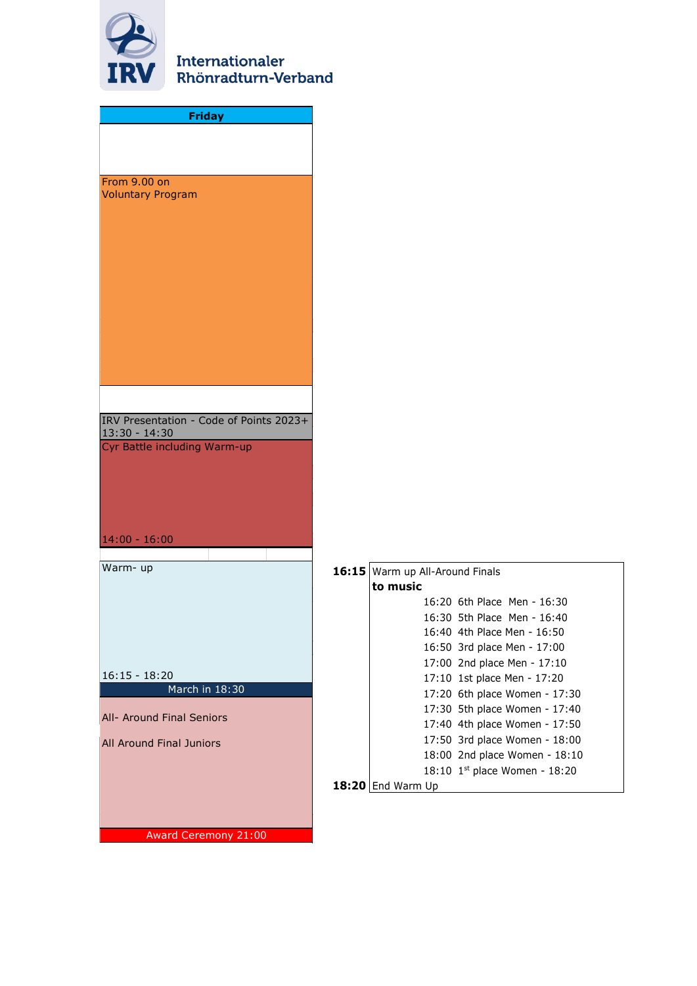

| <b>Friday</b>                                   |     |
|-------------------------------------------------|-----|
|                                                 |     |
|                                                 |     |
| From 9.00 on                                    |     |
| <b>Voluntary Program</b>                        |     |
|                                                 |     |
|                                                 |     |
|                                                 |     |
|                                                 |     |
|                                                 |     |
|                                                 |     |
|                                                 |     |
|                                                 |     |
|                                                 |     |
| IRV Presentation - Code of Points 2023+         |     |
| $13:30 - 14:30$<br>Cyr Battle including Warm-up |     |
|                                                 |     |
|                                                 |     |
|                                                 |     |
| $14:00 - 16:00$                                 |     |
|                                                 |     |
| Warm-up                                         | 16: |
|                                                 |     |
|                                                 |     |
|                                                 |     |
|                                                 |     |
| $16:15 - 18:20$<br>March in 18:30               |     |
|                                                 |     |
| All- Around Final Seniors                       |     |
| <b>All Around Final Juniors</b>                 |     |
|                                                 |     |
|                                                 | 18: |
|                                                 |     |
| Award Ceremony 21:00                            |     |

|       | 16:15 Warm up All-Around Finals |                                 |  |
|-------|---------------------------------|---------------------------------|--|
|       | to music                        |                                 |  |
|       |                                 | 16:20 6th Place Men - 16:30     |  |
|       |                                 | 16:30 5th Place Men - 16:40     |  |
|       |                                 | 16:40 4th Place Men - 16:50     |  |
|       |                                 | 16:50 3rd place Men - 17:00     |  |
|       |                                 | 17:00 2nd place Men - 17:10     |  |
|       |                                 | 17:10 1st place Men - 17:20     |  |
|       |                                 | 17:20 6th place Women - 17:30   |  |
|       |                                 | 17:30 5th place Women - 17:40   |  |
|       |                                 | 17:40 4th place Women - 17:50   |  |
|       |                                 | 17:50 3rd place Women - 18:00   |  |
|       |                                 | 18:00 2nd place Women - 18:10   |  |
|       |                                 | 18:10 $1st$ place Women - 18:20 |  |
| 18:20 | End Warm Up                     |                                 |  |